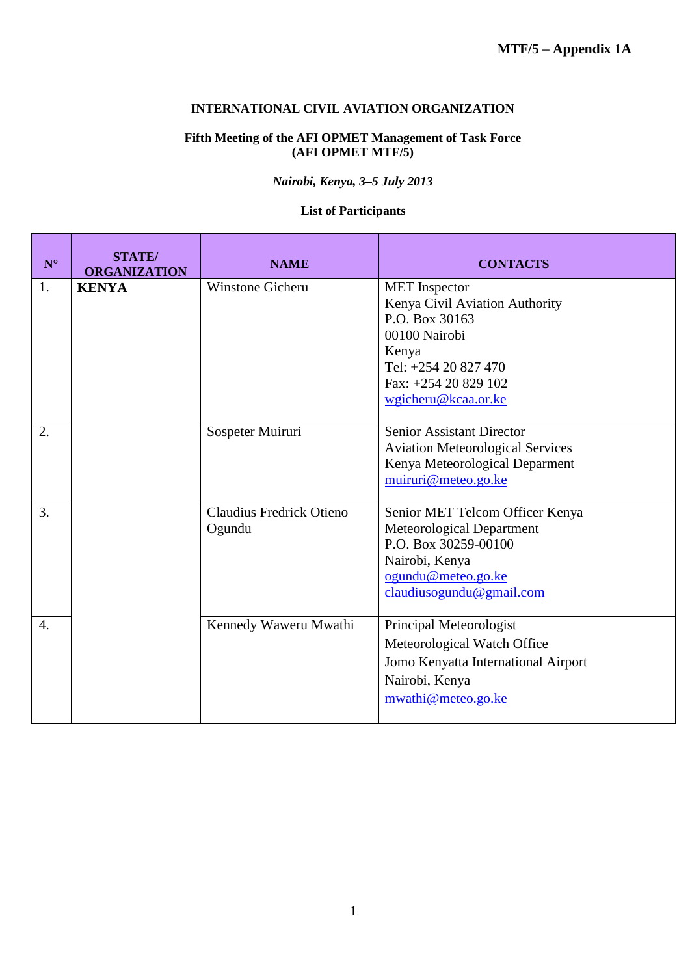## **INTERNATIONAL CIVIL AVIATION ORGANIZATION**

## **Fifth Meeting of the AFI OPMET Management of Task Force (AFI OPMET MTF/5)**

*Nairobi, Kenya, 3–5 July 2013*

## **List of Participants**

| $\mathbf{N}^\circ$ | <b>STATE</b> /<br><b>ORGANIZATION</b> | <b>NAME</b>                               | <b>CONTACTS</b>                                                                                                                                                           |
|--------------------|---------------------------------------|-------------------------------------------|---------------------------------------------------------------------------------------------------------------------------------------------------------------------------|
| 1.                 | <b>KENYA</b>                          | <b>Winstone Gicheru</b>                   | <b>MET</b> Inspector<br>Kenya Civil Aviation Authority<br>P.O. Box 30163<br>00100 Nairobi<br>Kenya<br>Tel: +254 20 827 470<br>Fax: +254 20 829 102<br>wgicheru@kcaa.or.ke |
| 2.                 |                                       | Sospeter Muiruri                          | <b>Senior Assistant Director</b><br><b>Aviation Meteorological Services</b><br>Kenya Meteorological Deparment<br>muiruri@meteo.go.ke                                      |
| 3.                 |                                       | <b>Claudius Fredrick Otieno</b><br>Ogundu | Senior MET Telcom Officer Kenya<br>Meteorological Department<br>P.O. Box 30259-00100<br>Nairobi, Kenya<br>ogundu@meteo.go.ke<br>claudiusogundu@gmail.com                  |
| 4.                 |                                       | Kennedy Waweru Mwathi                     | Principal Meteorologist<br>Meteorological Watch Office<br>Jomo Kenyatta International Airport<br>Nairobi, Kenya<br>mwathi@meteo.go.ke                                     |